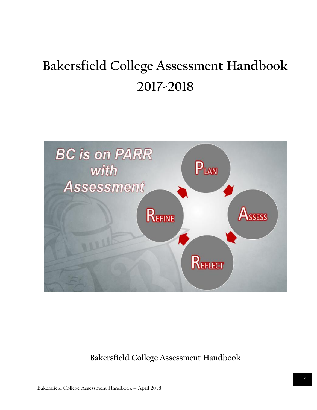# **Bakersfield College Assessment Handbook 2017-2018**



**Bakersfield College Assessment Handbook**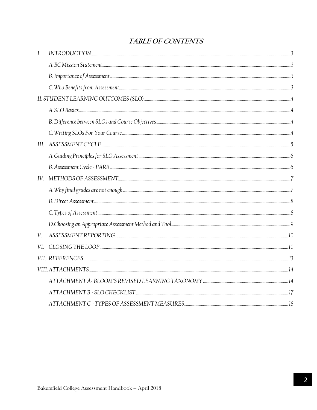## TABLE OF CONTENTS

| I.  |  |
|-----|--|
|     |  |
|     |  |
|     |  |
|     |  |
|     |  |
|     |  |
|     |  |
|     |  |
|     |  |
|     |  |
|     |  |
|     |  |
|     |  |
|     |  |
|     |  |
| V.  |  |
| VI. |  |
|     |  |
|     |  |
|     |  |
|     |  |
|     |  |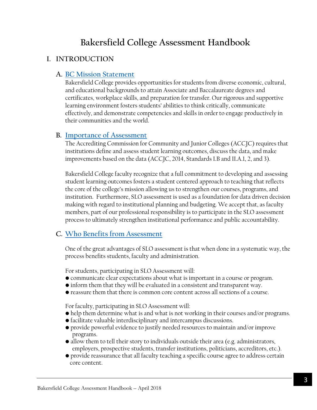# **Bakersfield College Assessment Handbook**

## <span id="page-2-0"></span>**I. INTRODUCTION**

## <span id="page-2-1"></span>**A. [BC Mission Statement](#page-2-1)**

Bakersfield College provides opportunities for students from diverse economic, cultural, and educational backgrounds to attain Associate and Baccalaureate degrees and certificates, workplace skills, and preparation for transfer. Our rigorous and supportive learning environment fosters students' abilities to think critically, communicate effectively, and demonstrate competencies and skills in order to engage productively in their communities and the world.

## <span id="page-2-2"></span>**B. [Importance of](#page-2-2) Assessment**

The Accrediting Commission for Community and Junior Colleges (ACCJC) requires that institutions define and assess student learning outcomes, discuss the data, and make improvements based on the data (ACCJC, 2014, Standards I.B and II.A.1, 2, and 3).

Bakersfield College faculty recognize that a full commitment to developing and assessing student learning outcomes fosters a student centered approach to teaching that reflects the core of the college's mission allowing us to strengthen our courses, programs, and institution. Furthermore, SLO assessment is used as a foundation for data driven decision making with regard to institutional planning and budgeting. We accept that, as faculty members, part of our professional responsibility is to participate in the SLO assessment process to ultimately strengthen institutional performance and public accountability.

## <span id="page-2-3"></span>**C. Who Benefits from Assessment**

One of the great advantages of SLO assessment is that when done in a systematic way, the process benefits students, faculty and administration.

For students, participating in SLO Assessment will:

- communicate clear expectations about what is important in a course or program.
- inform them that they will be evaluated in a consistent and transparent way.
- reassure them that there is common core content across all sections of a course.

For faculty, participating in SLO Assessment will:

- help them determine what is and what is not working in their courses and/or programs.
- facilitate valuable interdisciplinary and intercampus discussions.
- provide powerful evidence to justify needed resources to maintain and/or improve programs.
- allow them to tell their story to individuals outside their area (e.g. administrators, employers, prospective students, transfer institutions, politicians, accreditors, etc.).
- provide reassurance that all faculty teaching a specific course agree to address certain core content.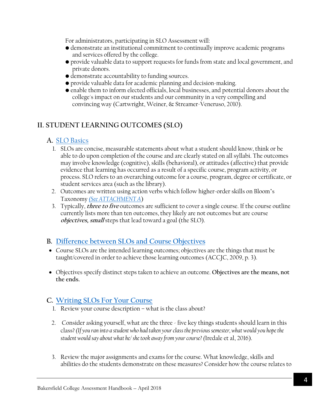For administrators, participating in SLO Assessment will:

- demonstrate an institutional commitment to continually improve academic programs and services offered by the college.
- provide valuable data to support requests for funds from state and local government, and private donors.
- demonstrate accountability to funding sources.
- provide valuable data for academic planning and decision-making.
- enable them to inform elected officials, local businesses, and potential donors about the college's impact on our students and our community in a very compelling and convincing way (Cartwright, Weiner, & Streamer-Veneruso, 2010).

## <span id="page-3-4"></span><span id="page-3-0"></span>**II. STUDENT LEARNING OUTCOMES (SLO)**

## <span id="page-3-1"></span>**A.** [SLO Basics](#page-3-4)

- 1. SLOs are concise, measurable statements about what a student should know, think or be able to do upon completion of the course and are clearly stated on all syllabi. The outcomes may involve knowledge (cognitive), skills (behavioral), or attitudes (affective) that provide evidence that learning has occurred as a result of a specific course, program activity, or process. SLO refers to an overarching outcome for a course, program, degree or certificate, or student services area (such as the library).
- 2. Outcomes are written using action verbs which follow higher-order skills on Bloom's Taxonomy *[\(See](#page-13-2) ATTACHMENT A*)
- 3. Typically, **three to five** outcomes are sufficient to cover a single course. If the course outline currently lists more than ten outcomes, they likely are not outcomes but are course **objectives, small** steps that lead toward a goal (the SLO).

## <span id="page-3-5"></span><span id="page-3-2"></span>**B. [Difference between SLOs](#page-3-5) and Course Objectives**

- Course SLOs are the intended learning outcomes; objectives are the things that must be taught/covered in order to achieve those learning outcomes (ACCJC, 2009, p. 3).
- Objectives specify distinct steps taken to achieve an outcome. **Objectives are the means, not the ends.**

## <span id="page-3-6"></span><span id="page-3-3"></span>**C. [Writing SLOs For Your Course](#page-3-6)**

- 1. Review your course description what is the class about?
- 2. Consider asking yourself, what are the three five key things students should learn in this class?*(If you ran into a student who had taken your class the previous semester, what would you hope the student would say about what he/ she took away from your course? (*Iredale et al, 2016).
- 3. Review the major assignments and exams for the course. What knowledge, skills and abilities do the students demonstrate on these measures? Consider how the course relates to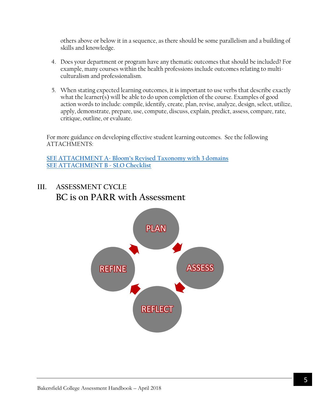others above or below it in a sequence, as there should be some parallelism and a building of skills and knowledge.

- 4. Does your department or program have any thematic outcomes that should be included? For example, many courses within the health professions include outcomes relating to multiculturalism and professionalism.
- 5. When stating expected learning outcomes, it is important to use verbs that describe exactly what the learner(s) will be able to do upon completion of the course. Examples of good action words to include: compile, identify, create, plan, revise, analyze, design, select, utilize, apply, demonstrate, prepare, use, compute, discuss, explain, predict, assess, compare, rate, critique, outline, or evaluate.

For more guidance on developing effective student learning outcomes. See the following ATTACHMENTS:

**SEE ATTACHMENT A- Bloom's [Revised Taxonomy with 3 domains](#page-13-2) [SEE ATTACHMENT B](#page-16-0) - SLO Checklist**

# <span id="page-4-0"></span>**III. ASSESSMENT CYCLE BC is on PARR with Assessment**

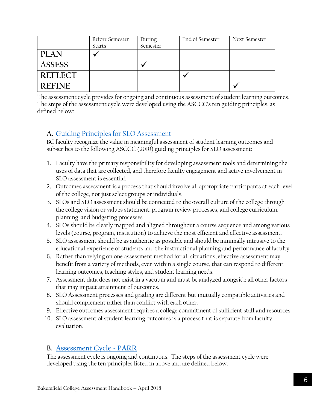|               | Before Semester<br><b>Starts</b> | During<br>Semester | End of Semester | Next Semester |
|---------------|----------------------------------|--------------------|-----------------|---------------|
| <b>PLAN</b>   |                                  |                    |                 |               |
| <b>ASSESS</b> |                                  |                    |                 |               |
| REFLECT       |                                  |                    |                 |               |
| <b>REFINE</b> |                                  |                    |                 |               |

The assessment cycle provides for ongoing and continuous assessment of student learning outcomes. The steps of the assessment cycle were developed using the ASCCC's ten guiding principles, as defined below:

## <span id="page-5-2"></span><span id="page-5-0"></span>**A.** [Guiding Principles for SLO Assessment](#page-5-2)

BC faculty recognize the value in meaningful assessment of student learning outcomes and subscribes to the following ASCCC (2010) guiding principles for SLO assessment:

- 1. Faculty have the primary responsibility for developing assessment tools and determining the uses of data that are collected, and therefore faculty engagement and active involvement in SLO assessment is essential.
- 2. Outcomes assessment is a process that should involve all appropriate participants at each level of the college, not just select groups or individuals.
- 3. SLOs and SLO assessment should be connected to the overall culture of the college through the college vision or values statement, program review processes, and college curriculum, planning, and budgeting processes.
- 4. SLOs should be clearly mapped and aligned throughout a course sequence and among various levels (course, program, institution) to achieve the most efficient and effective assessment.
- 5. SLO assessment should be as authentic as possible and should be minimally intrusive to the educational experience of students and the instructional planning and performance of faculty.
- 6. Rather than relying on one assessment method for all situations, effective assessment may benefit from a variety of methods, even within a single course, that can respond to different learning outcomes, teaching styles, and student learning needs.
- 7. Assessment data does not exist in a vacuum and must be analyzed alongside all other factors that may impact attainment of outcomes.
- 8. SLO Assessment processes and grading are different but mutually compatible activities and should complement rather than conflict with each other.
- 9. Effective outcomes assessment requires a college commitment of sufficient staff and resources.
- 10. SLO assessment of student learning outcomes is a process that is separate from faculty evaluation.

## <span id="page-5-3"></span><span id="page-5-1"></span>**B. [Assessment Cycle](#page-5-3) - PARR**

The assessment cycle is ongoing and continuous. The steps of the assessment cycle were developed using the ten principles listed in above and are defined below: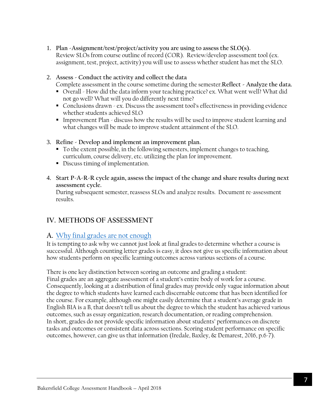- 1. **Plan -Assignment/test/project/activity you are using to assess the SLO(s).** Review SLOs from course outline of record (COR). Review/develop assessment tool (ex. assignment, test, project, activity) you will use to assess whether student has met the SLO.
- 2. **Assess - Conduct the activity and collect the data**

Complete assessment in the course sometime during the semester.**Reflect - Analyze the data.**

- Overall How did the data inform your teaching practice? ex. What went well? What did not go well? What will you do differently next time?
- Conclusions drawn ex. Discuss the assessment tool's effectiveness in providing evidence whether students achieved SLO
- Improvement Plan discuss how the results will be used to improve student learning and what changes will be made to improve student attainment of the SLO.
- 3. **Refine - Develop and implement an improvement plan.**
	- To the extent possible, in the following semesters, implement changes to teaching, curriculum, course delivery, etc. utilizing the plan for improvement.
	- Discuss timing of implementation.
- 4. **Start P-A-R-R cycle again, assess the impact of the change and share results during next assessment cycle.**

During subsequent semester, reassess SLOs and analyze results. Document re-assessment results.

## <span id="page-6-0"></span>**IV. METHODS OF ASSESSMENT**

## <span id="page-6-2"></span><span id="page-6-1"></span>**A.** [Why final grades are not enough](#page-6-2)

It is tempting to ask why we cannot just look at final grades to determine whether a course is successful. Although counting letter grades is easy, it does not give us specific information about how students perform on specific learning outcomes across various sections of a course.

There is one key distinction between scoring an outcome and grading a student: Final grades are an aggregate assessment of a student's entire body of work for a course. Consequently, looking at a distribution of final grades may provide only vague information about the degree to which students have learned each discernable outcome that has been identified for the course. For example, although one might easily determine that a student's average grade in English B1A is a B, that doesn't tell us about the degree to which the student has achieved various outcomes, such as essay organization, research documentation, or reading comprehension. In short, grades do not provide specific information about students' performances on discrete tasks and outcomes or consistent data across sections. Scoring student performance on specific outcomes, however, can give us that information (Iredale, Baxley, & Demarest, 2016, p.6-7).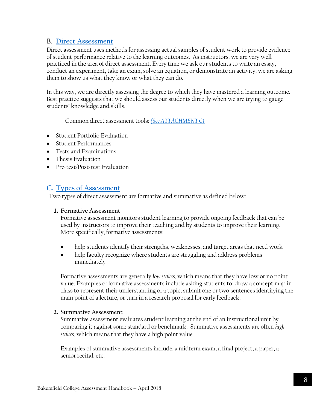#### <span id="page-7-0"></span>**B. [Direct Assessment](#page-7-0)**

Direct assessment uses methods for assessing actual samples of student work to provide evidence of student performance relative to the learning outcomes. As instructors, we are very well practiced in the area of direct assessment. Every time we ask our students to write an essay, conduct an experiment, take an exam, solve an equation, or demonstrate an activity, we are asking them to show us what they know or what they can do.

In this way, we are directly assessing the degree to which they have mastered a learning outcome. Best practice suggests that we should assess our students directly when we are trying to gauge students' knowledge and skills.

Common direct assessment tools: *[\(See ATTACHMENT](#page-16-0) C)*

- Student Portfolio Evaluation
- Student Performances
- Tests and Examinations
- Thesis Evaluation
- Pre-test/Post-test Evaluation

## <span id="page-7-2"></span><span id="page-7-1"></span>**C. [Types of Assessment](#page-7-2)**

Two types of direct assessment are formative and summative as defined below:

#### **1. Formative Assessment**

Formative assessment monitors student learning to provide ongoing feedback that can be used by instructors to improve their teaching and by students to improve their learning. More specifically, formative assessments:

- help students identify their strengths, weaknesses, and target areas that need work
- help faculty recognize where students are struggling and address problems immediately

Formative assessments are generally *low stakes*, which means that they have low or no point value. Examples of formative assessments include asking students to: draw a concept map in class to represent their understanding of a topic, submit one or two sentences identifying the main point of a lecture, or turn in a research proposal for early feedback.

#### **2. Summative Assessment**

Summative assessment evaluates student learning at the end of an instructional unit by comparing it against some standard or benchmark. Summative assessments are often *high stakes*, which means that they have a high point value.

Examples of summative assessments include: a midterm exam, a final project, a paper, a senior recital, etc.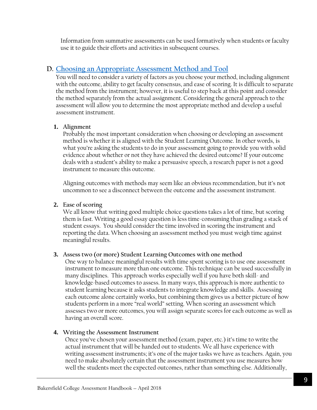Information from summative assessments can be used formatively when students or faculty use it to guide their efforts and activities in subsequent courses.

## <span id="page-8-1"></span><span id="page-8-0"></span>**D. [Choosing an Appropriate Assessment Method and Tool](#page-8-1)**

You will need to consider a variety of factors as you choose your method, including alignment with the outcome, ability to get faculty consensus, and ease of scoring. It is difficult to separate the method from the instrument; however, it is useful to step back at this point and consider the method separately from the actual assignment. Considering the general approach to the assessment will allow you to determine the most appropriate method and develop a useful assessment instrument.

#### **1. Alignment**

Probably the most important consideration when choosing or developing an assessment method is whether it is aligned with the Student Learning Outcome. In other words, is what you're asking the students to do in your assessment going to provide you with solid evidence about whether or not they have achieved the desired outcome? If your outcome deals with a student's ability to make a persuasive speech, a research paper is not a good instrument to measure this outcome.

Aligning outcomes with methods may seem like an obvious recommendation, but it's not uncommon to see a disconnect between the outcome and the assessment instrument.

#### **2. Ease of scoring**

We all know that writing good multiple choice questions takes a lot of time, but scoring them is fast. Writing a good essay question is less time-consuming than grading a stack of student essays. You should consider the time involved in scoring the instrument and reporting the data. When choosing an assessment method you must weigh time against meaningful results.

#### **3. Assess two (or more) Student Learning Outcomes with one method**

One way to balance meaningful results with time spent scoring is to use one assessment instrument to measure more than one outcome. This technique can be used successfully in many disciplines. This approach works especially well if you have both skill- and knowledge-based outcomes to assess. In many ways, this approach is more authentic to student learning because it asks students to integrate knowledge and skills. Assessing each outcome alone certainly works, but combining them gives us a better picture of how students perform in a more "real world" setting. When scoring an assessment which assesses two or more outcomes, you will assign separate scores for each outcome as well as having an overall score.

#### **4. Writing the Assessment Instrument**

Once you've chosen your assessment method (exam, paper, etc.) it's time to write the actual instrument that will be handed out to students. We all have experience with writing assessment instruments; it's one of the major tasks we have as teachers. Again, you need to make absolutely certain that the assessment instrument you use measures how well the students meet the expected outcomes, rather than something else. Additionally,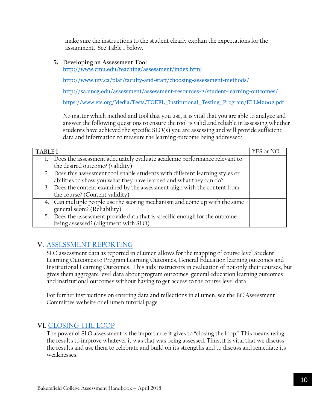make sure the instructions to the student clearly explain the expectations for the assignment. See Table 1 below.

#### **5. Developing an Assessment Tool**

<http://www.cmu.edu/teaching/assessment/index.html>

<http://www.ufv.ca/plar/faculty-and-staff/choosing-assessment-methods/>

<http://sa.uncg.edu/assessment/assessment-resources-2/student-learning-outcomes/>

[https://www.ets.org/Media/Tests/TOEFL\\_Institutional\\_Testing\\_Program/ELLM2002.pdf](https://www.ets.org/Media/Tests/TOEFL_Institutional_Testing_Program/ELLM2002.pdf)

No matter which method and tool that you use, it is vital that you are able to analyze and answer the following questions to ensure the tool is valid and reliable in assessing whether students have achieved the specific SLO(s) you are assessing and will provide sufficient data and information to measure the learning outcome being addressed:

| <b>TABLE1</b>                                                                  |  |
|--------------------------------------------------------------------------------|--|
| Does the assessment adequately evaluate academic performance relevant to       |  |
| the desired outcome? (validity)                                                |  |
| 2. Does this assessment tool enable students with different learning styles or |  |
| abilities to show you what they have learned and what they can do?             |  |
| 3. Does the content examined by the assessment align with the content from     |  |
| the course? (Content validity)                                                 |  |
| 4. Can multiple people use the scoring mechanism and come up with the same     |  |
| general score? (Reliability)                                                   |  |
| 5. Does the assessment provide data that is specific enough for the outcome    |  |
| being assessed? (alignment with SLO)                                           |  |

## <span id="page-9-2"></span><span id="page-9-0"></span>**V.** [ASSESSMENT REPORTING](#page-9-2)

SLO assessment data as reported in eLumen allows for the mapping of course level Student Learning Outcomes to Program Learning Outcomes, General Education learning outcomes and Institutional Learning Outcomes. This aids instructors in evaluation of not only their courses, but gives them aggregate level data about program outcomes, general education learning outcomes and institutional outcomes without having to get access to the course level data.

For further instructions on entering data and reflections in eLumen, see the BC Assessment Committee website or eLumen tutorial page.

## <span id="page-9-1"></span>**VI.** [CLOSING THE LOOP](#page-9-1)

The power of SLO assessment is the importance it gives to "closing the loop." This means using the results to improve whatever it was that was being assessed. Thus, it is vital that we discuss the results and use them to celebrate and build on its strengths and to discuss and remediate its weaknesses.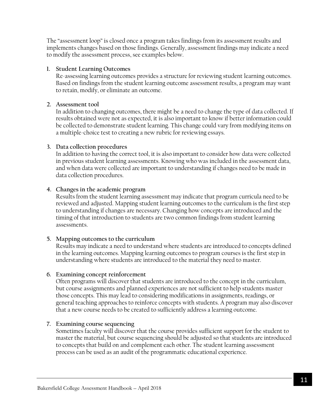The "assessment loop" is closed once a program takes findings from its assessment results and implements changes based on those findings. Generally, assessment findings may indicate a need to modify the assessment process, see examples below.

#### **1. Student Learning Outcomes**

Re-assessing learning outcomes provides a structure for reviewing student learning outcomes. Based on findings from the student learning outcome assessment results, a program may want to retain, modify, or eliminate an outcome.

#### **2. Assessment tool**

In addition to changing outcomes, there might be a need to change the type of data collected. If results obtained were not as expected, it is also important to know if better information could be collected to demonstrate student learning. This change could vary from modifying items on a multiple-choice test to creating a new rubric for reviewing essays.

#### **3. Data collection procedures**

In addition to having the correct tool, it is also important to consider how data were collected in previous student learning assessments. Knowing who was included in the assessment data, and when data were collected are important to understanding if changes need to be made in data collection procedures.

#### **4. Changes in the academic program**

Results from the student learning assessment may indicate that program curricula need to be reviewed and adjusted. Mapping student learning outcomes to the curriculum is the first step to understanding if changes are necessary. Changing how concepts are introduced and the timing of that introduction to students are two common findings from student learning assessments.

#### **5. Mapping outcomes to the curriculum**

Results may indicate a need to understand where students are introduced to concepts defined in the learning outcomes. Mapping learning outcomes to program courses is the first step in understanding where students are introduced to the material they need to master.

#### **6. Examining concept reinforcement**

Often programs will discover that students are introduced to the concept in the curriculum, but course assignments and planned experiences are not sufficient to help students master those concepts. This may lead to considering modifications in assignments, readings, or general teaching approaches to reinforce concepts with students. A program may also discover that a new course needs to be created to sufficiently address a learning outcome.

#### **7. Examining course sequencing**

Sometimes faculty will discover that the course provides sufficient support for the student to master the material, but course sequencing should be adjusted so that students are introduced to concepts that build on and complement each other. The student learning assessment process can be used as an audit of the programmatic educational experience.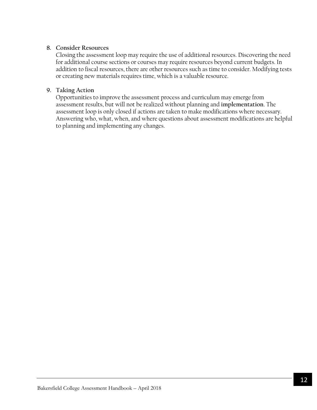#### **8. Consider Resources**

Closing the assessment loop may require the use of additional resources. Discovering the need for additional course sections or courses may require resources beyond current budgets. In addition to fiscal resources, there are other resources such as time to consider. Modifying tests or creating new materials requires time, which is a valuable resource.

#### **9. Taking Action**

Opportunities to improve the assessment process and curriculum may emerge from assessment results, but will not be realized without planning and **implementation**. The assessment loop is only closed if actions are taken to make modifications where necessary. Answering who, what, when, and where questions about assessment modifications are helpful to planning and implementing any changes.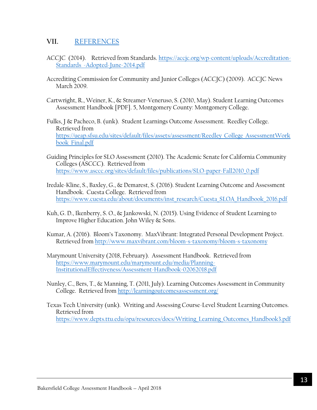#### <span id="page-12-0"></span>**VII.** [REFERENCES](#page-12-0)

- ACCJC (2014). Retrieved from Standards. [https://accjc.org/wp-content/uploads/Accreditation-](https://accjc.org/wp-content/uploads/Accreditation-Standards_-Adopted-June-2014.pdf)[Standards\\_-Adopted-June-2014.pdf](https://accjc.org/wp-content/uploads/Accreditation-Standards_-Adopted-June-2014.pdf)
- Accrediting Commission for Community and Junior Colleges (ACCJC) (2009). ACCJC News March 2009.
- Cartwright, R., Weiner, K., & Streamer-Veneruso, S. (2010, May). Student Learning Outcomes Assessment Handbook [PDF]. 5, Montgomery County: Montgomery College.
- Fulks, J & Pacheco, B. (unk). Student Learnings Outcome Assessment. Reedley College. Retrieved from [https://ueap.sfsu.edu/sites/default/files/assets/assessment/Reedley\\_College\\_AssessmentWork](https://ueap.sfsu.edu/sites/default/files/assets/assessment/Reedley_College_AssessmentWorkbook_Final.pdf) [book\\_Final.pdf](https://ueap.sfsu.edu/sites/default/files/assets/assessment/Reedley_College_AssessmentWorkbook_Final.pdf)
- Guiding Principles for SLO Assessment (2010). The Academic Senate for California Community Colleges (ASCCC). Retrieved from [https://www.asccc.org/sites/default/files/publications/SLO-paper-Fall2010\\_0.pdf](https://www.asccc.org/sites/default/files/publications/SLO-paper-Fall2010_0.pdf)
- Iredale-Kline, S., Baxley, G., & Demarest, S. (2016). Student Learning Outcome and Assessment Handbook. Cuesta College. Retrieved from [https://www.cuesta.edu/about/documents/inst\\_research/Cuesta\\_SLOA\\_Handbook\\_2016.pdf](https://www.cuesta.edu/about/documents/inst_research/Cuesta_SLOA_Handbook_2016.pdf)
- Kuh, G. D., Ikenberry, S. O., & Jankowski, N. (2015). Using Evidence of Student Learning to Improve Higher Education. John Wiley & Sons.
- Kumar, A. (2016). Bloom's Taxonomy. MaxVibrant: Integrated Personal Development Project. Retrieved from<http://www.maxvibrant.com/bloom-s-taxonomy/bloom-s-taxonomy>
- Marymount University (2018, February). Assessment Handbook. Retrieved from [https://www.marymount.edu/marymount.edu/media/Planning-](https://www.marymount.edu/marymount.edu/media/Planning-InstitutionalEffectiveness/Assessment-Handbook-02062018.pdf)[InstitutionalEffectiveness/Assessment-Handbook-02062018.pdf](https://www.marymount.edu/marymount.edu/media/Planning-InstitutionalEffectiveness/Assessment-Handbook-02062018.pdf)
- Nunley, C., Bers, T., & Manning, T. (2011, July). Learning Outcomes Assessment in Community College. Retrieved from<http://learningoutcomesassessment.org/>
- Texas Tech University (unk). Writing and Assessing Course-Level Student Learning Outcomes. Retrieved from [https://www.depts.ttu.edu/opa/resources/docs/Writing\\_Learning\\_Outcomes\\_Handbook3.pdf](https://www.depts.ttu.edu/opa/resources/docs/Writing_Learning_Outcomes_Handbook3.pdf)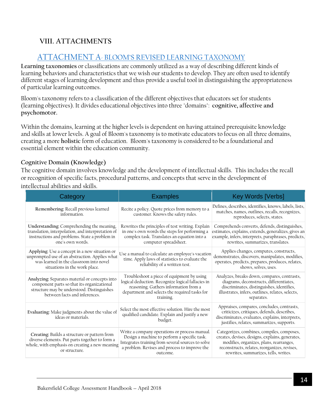## <span id="page-13-2"></span><span id="page-13-0"></span>**VIII. ATTACHMENTS**

## <span id="page-13-1"></span>ATTACHMENT A- BLOOM'S [REVISED LEARNING TAXONOMY](#page-13-2)

**Learning taxonomies** or classifications are commonly utilized as a way of describing different kinds of learning behaviors and characteristics that we wish our students to develop. They are often used to identify different stages of learning development and thus provide a useful tool in distinguishing the appropriateness of particular learning outcomes.

Bloom's taxonomy refers to a classification of the different objectives that educators set for students (learning objectives). It divides educational objectives into three "domains": **cognitive, affective and psychomotor.**

Within the domains, learning at the higher levels is dependent on having attained prerequisite knowledge and skills at lower levels. A goal of Bloom's taxonomy is to motivate educators to focus on all three domains, creating a more **holistic** form of education. Bloom's taxonomy is considered to be a foundational and essential element within the education community.

#### **Cognitive Domain (Knowledge)**

The cognitive domain involves knowledge and the development of intellectual skills. This includes the recall or recognition of specific facts, procedural patterns, and concepts that serve in the development of intellectual abilities and skills.

| Category                                                                                                                                                                    | <b>Examples</b>                                                                                                                                                                                                 | <b>Key Words [Verbs]</b>                                                                                                                                                                                                         |
|-----------------------------------------------------------------------------------------------------------------------------------------------------------------------------|-----------------------------------------------------------------------------------------------------------------------------------------------------------------------------------------------------------------|----------------------------------------------------------------------------------------------------------------------------------------------------------------------------------------------------------------------------------|
| Remembering: Recall previous learned<br>information.                                                                                                                        | Recite a policy. Quote prices from memory to a<br>customer. Knows the safety rules.                                                                                                                             | Defines, describes, identifies, knows, labels, lists,<br>matches, names, outlines, recalls, recognizes,<br>reproduces, selects, states.                                                                                          |
| Understanding: Comprehending the meaning,<br>translation, interpolation, and interpretation of<br>instructions and problems. State a problem in<br>one's own words.         | Rewrites the principles of test writing. Explain<br>in one's own words the steps for performing a<br>complex task. Translates an equation into a<br>computer spreadsheet.                                       | Comprehends converts, defends, distinguishes,<br>estimates, explains, extends, generalizes, gives an<br>example, infers, interprets, paraphrases, predicts,<br>rewrites, summarizes, translates.                                 |
| Applying: Use a concept in a new situation or<br>unprompted use of an abstraction. Applies what<br>was learned in the classroom into novel<br>situations in the work place. | Use a manual to calculate an employee's vacation<br>time. Apply laws of statistics to evaluate the<br>reliability of a written test.                                                                            | Applies changes, computes, constructs,<br>demonstrates, discovers, manipulates, modifies,<br>operates, predicts, prepares, produces, relates,<br>shows, solves, uses.                                                            |
| Analyzing: Separates material or concepts into<br>component parts so that its organizational<br>structure may be understood. Distinguishes<br>between facts and inferences. | Troubleshoot a piece of equipment by using<br>logical deduction. Recognize logical fallacies in<br>reasoning. Gathers information from a<br>department and selects the required tasks for<br>training.          | Analyzes, breaks down, compares, contrasts,<br>diagrams, deconstructs, differentiates,<br>discriminates, distinguishes, identifies,<br>illustrates, infers, outlines, relates, selects,<br>separates.                            |
| Evaluating: Make judgments about the value of<br>ideas or materials.                                                                                                        | Select the most effective solution. Hire the most<br>qualified candidate. Explain and justify a new<br>budget.                                                                                                  | Appraises, compares, concludes, contrasts,<br>criticizes, critiques, defends, describes,<br>discriminates, evaluates, explains, interprets,<br>justifies, relates, summarizes, supports.                                         |
| Creating: Builds a structure or pattern from<br>diverse elements. Put parts together to form a<br>whole, with emphasis on creating a new meaning<br>or structure.           | Write a company operations or process manual.<br>Design a machine to perform a specific task.<br>Integrates training from several sources to solve<br>a problem. Revises and process to improve the<br>outcome. | Categorizes, combines, compiles, composes,<br>creates, devises, designs, explains, generates,<br>modifies, organizes, plans, rearranges,<br>reconstructs, relates, reorganizes, revises,<br>rewrites, summarizes, tells, writes. |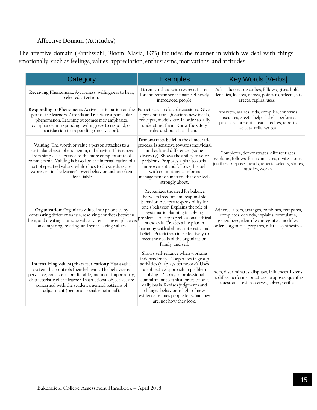#### **Affective Domain (Attitudes)**

The affective domain (Krathwohl, Bloom, Masia, 1973) includes the manner in which we deal with things emotionally, such as feelings, values, appreciation, enthusiasms, motivations, and attitudes.

| Category                                                                                                                                                                                                                                                                                                                                                                 | <b>Examples</b>                                                                                                                                                                                                                                                                                                                                                             | <b>Key Words [Verbs]</b>                                                                                                                                                                            |
|--------------------------------------------------------------------------------------------------------------------------------------------------------------------------------------------------------------------------------------------------------------------------------------------------------------------------------------------------------------------------|-----------------------------------------------------------------------------------------------------------------------------------------------------------------------------------------------------------------------------------------------------------------------------------------------------------------------------------------------------------------------------|-----------------------------------------------------------------------------------------------------------------------------------------------------------------------------------------------------|
| Receiving Phenomena: Awareness, willingness to hear,<br>selected attention.                                                                                                                                                                                                                                                                                              | Listen to others with respect. Listen<br>for and remember the name of newly<br>introduced people.                                                                                                                                                                                                                                                                           | Asks, chooses, describes, follows, gives, holds,<br>identifies, locates, names, points to, selects, sits,<br>erects, replies, uses.                                                                 |
| Responding to Phenomena: Active participation on the<br>part of the learners. Attends and reacts to a particular<br>phenomenon. Learning outcomes may emphasize<br>compliance in responding, willingness to respond, or<br>satisfaction in responding (motivation).                                                                                                      | Participates in class discussions. Gives<br>a presentation. Questions new ideals,<br>concepts, models, etc. in order to fully<br>understand them. Know the safety<br>rules and practices them.                                                                                                                                                                              | Answers, assists, aids, complies, conforms,<br>discusses, greets, helps, labels, performs,<br>practices, presents, reads, recites, reports,<br>selects, tells, writes.                              |
| Valuing: The worth or value a person attaches to a<br>particular object, phenomenon, or behavior. This ranges<br>from simple acceptance to the more complex state of<br>commitment. Valuing is based on the internalization of a<br>set of specified values, while clues to these values are<br>expressed in the learner's overt behavior and are often<br>identifiable. | Demonstrates belief in the democratic<br>process. Is sensitive towards individual<br>and cultural differences (value<br>diversity). Shows the ability to solve<br>problems. Proposes a plan to social<br>improvement and follows through<br>with commitment. Informs<br>management on matters that one feels<br>strongly about.                                             | Completes, demonstrates, differentiates,<br>explains, follows, forms, initiates, invites, joins,<br>justifies, proposes, reads, reports, selects, shares,<br>studies, works.                        |
| Organization: Organizes values into priorities by<br>contrasting different values, resolving conflicts between<br>them, and creating a unique value system. The emphasis is problems. Accepts professional ethical<br>on comparing, relating, and synthesizing values.                                                                                                   | Recognizes the need for balance<br>between freedom and responsible<br>behavior. Accepts responsibility for<br>one's behavior. Explains the role of<br>systematic planning in solving<br>harmony with abilities, interests, and<br>beliefs. Prioritizes time effectively to<br>meet the needs of the organization,<br>family, and self.                                      | Adheres, alters, arranges, combines, compares,<br>completes, defends, explains, formulates,<br>generalizes, identifies, integrates, modifies,<br>orders, organizes, prepares, relates, synthesizes. |
| Internalizing values (characterization): Has a value<br>system that controls their behavior. The behavior is<br>pervasive, consistent, predictable, and most importantly,<br>characteristic of the learner. Instructional objectives are<br>concerned with the student's general patterns of<br>adjustment (personal, social, emotional).                                | Shows self-reliance when working<br>independently. Cooperates in group<br>activities (displays teamwork). Uses<br>an objective approach in problem<br>solving. Displays a professional<br>commitment to ethical practice on a<br>daily basis. Revises judgments and<br>changes behavior in light of new<br>evidence. Values people for what they<br>are, not how they look. | Acts, discriminates, displays, influences, listens,<br>modifies, performs, practices, proposes, qualifies,<br>questions, revises, serves, solves, verifies.                                         |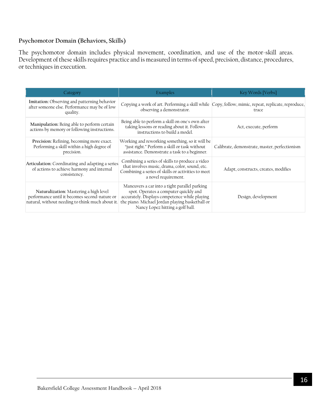#### **Psychomotor Domain (Behaviors, Skills)**

The psychomotor domain includes physical movement, coordination, and use of the motor-skill areas. Development of these skills requires practice and is measured in terms of speed, precision, distance, procedures, or techniques in execution.

| Category                                                                                                                                    | Examples                                                                                                                                                                                                                       | Key Words [Verbs]                                                                                           |
|---------------------------------------------------------------------------------------------------------------------------------------------|--------------------------------------------------------------------------------------------------------------------------------------------------------------------------------------------------------------------------------|-------------------------------------------------------------------------------------------------------------|
| Imitation: Observing and patterning behavior<br>after someone else. Performance may be of low<br>quality.                                   | observing a demonstrator.                                                                                                                                                                                                      | Copying a work of art. Performing a skill while Copy, follow, mimic, repeat, replicate, reproduce,<br>trace |
| Manipulation: Being able to perform certain<br>actions by memory or following instructions.                                                 | Being able to perform a skill on one's own after<br>taking lessons or reading about it. Follows<br>instructions to build a model.                                                                                              | Act, execute, perform                                                                                       |
| Precision: Refining, becoming more exact.<br>Performing a skill within a high degree of<br>precision.                                       | Working and reworking something, so it will be<br>"just right." Perform a skill or task without<br>assistance. Demonstrate a task to a beginner.                                                                               | Calibrate, demonstrate, master, perfectionism                                                               |
| Articulation: Coordinating and adapting a series<br>of actions to achieve harmony and internal<br>consistency.                              | Combining a series of skills to produce a video<br>that involves music, drama, color, sound, etc.<br>Combining a series of skills or activities to meet<br>a novel requirement.                                                | Adapt, constructs, creates, modifies                                                                        |
| Naturalization: Mastering a high level<br>performance until it becomes second-nature or<br>natural, without needing to think much about it. | Maneuvers a car into a tight parallel parking<br>spot. Operates a computer quickly and<br>accurately. Displays competence while playing<br>the piano. Michael Jordan playing basketball or<br>Nancy Lopez hitting a golf ball. | Design, development                                                                                         |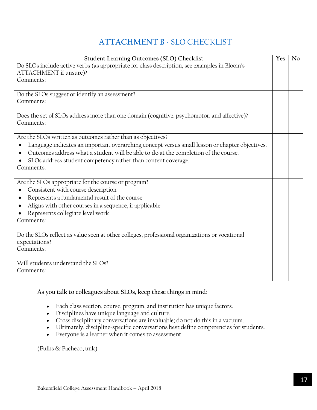# <span id="page-16-0"></span>**ATTACHMENT B** - [SLO CHECKLIST](#page-16-0)

| <b>Student Learning Outcomes (SLO) Checklist</b>                                                    |  |  |
|-----------------------------------------------------------------------------------------------------|--|--|
| Do SLOs include active verbs (as appropriate for class description, see examples in Bloom's         |  |  |
| ATTACHMENT if unsure)?                                                                              |  |  |
| Comments:                                                                                           |  |  |
|                                                                                                     |  |  |
| Do the SLOs suggest or identify an assessment?                                                      |  |  |
| Comments:                                                                                           |  |  |
|                                                                                                     |  |  |
| Does the set of SLOs address more than one domain (cognitive, psychomotor, and affective)?          |  |  |
| Comments:                                                                                           |  |  |
|                                                                                                     |  |  |
| Are the SLOs written as outcomes rather than as objectives?                                         |  |  |
| Language indicates an important overarching concept versus small lesson or chapter objectives.<br>٠ |  |  |
| Outcomes address what a student will be able to do at the completion of the course.<br>$\bullet$    |  |  |
| SLOs address student competency rather than content coverage.                                       |  |  |
| Comments:                                                                                           |  |  |
|                                                                                                     |  |  |
| Are the SLOs appropriate for the course or program?                                                 |  |  |
| Consistent with course description                                                                  |  |  |
| Represents a fundamental result of the course<br>$\bullet$                                          |  |  |
| Aligns with other courses in a sequence, if applicable<br>$\bullet$                                 |  |  |
| Represents collegiate level work                                                                    |  |  |
| Comments:                                                                                           |  |  |
|                                                                                                     |  |  |
| Do the SLOs reflect as value seen at other colleges, professional organizations or vocational       |  |  |
| expectations?                                                                                       |  |  |
| Comments:                                                                                           |  |  |
|                                                                                                     |  |  |
| Will students understand the SLOs?                                                                  |  |  |
| Comments:                                                                                           |  |  |
|                                                                                                     |  |  |

#### **As you talk to colleagues about SLOs, keep these things in mind**:

- Each class section, course, program, and institution has unique factors.
- Disciplines have unique language and culture.
- Cross disciplinary conversations are invaluable; do not do this in a vacuum.
- Ultimately, discipline-specific conversations best define competencies for students.
- Everyone is a learner when it comes to assessment.

<span id="page-16-1"></span>(Fulks & Pacheco, unk)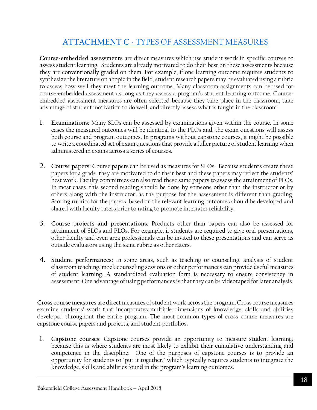# <span id="page-17-0"></span>**ATTACHMENT C** - [TYPES OF ASSESSMENT MEASURES](#page-16-1)

**Course-embedded assessments** are direct measures which use student work in specific courses to assess student learning. Students are already motivated to do their best on these assessments because they are conventionally graded on them. For example, if one learning outcome requires students to synthesize the literature on a topic in the field, student research papers may be evaluated using a rubric to assess how well they meet the learning outcome. Many classroom assignments can be used for course-embedded assessment as long as they assess a program's student learning outcome. Courseembedded assessment measures are often selected because they take place in the classroom, take advantage of student motivation to do well, and directly assess what is taught in the classroom.

- **1. Examinations:** Many SLOs can be assessed by examinations given within the course. In some cases the measured outcomes will be identical to the PLOs and, the exam questions will assess both course and program outcomes. In programs without capstone courses, it might be possible to write a coordinated set of exam questions that provide a fuller picture of student learning when administered in exams across a series of courses.
- **2. Course papers:** Course papers can be used as measures for SLOs. Because students create these papers for a grade, they are motivated to do their best and these papers may reflect the students' best work. Faculty committees can also read these same papers to assess the attainment of PLOs. In most cases, this second reading should be done by someone other than the instructor or by others along with the instructor, as the purpose for the assessment is different than grading. Scoring rubrics for the papers, based on the relevant learning outcomes should be developed and shared with faculty raters prior to rating to promote interrater reliability.
- **3. Course projects and presentations:** Products other than papers can also be assessed for attainment of SLOs and PLOs. For example, if students are required to give oral presentations, other faculty and even area professionals can be invited to these presentations and can serve as outside evaluators using the same rubric as other raters.
- **4. Student performances:** In some areas, such as teaching or counseling, analysis of student classroom teaching, mock counseling sessions or other performances can provide useful measures of student learning. A standardized evaluation form is necessary to ensure consistency in assessment. One advantage of using performances is that they can be videotaped for later analysis.

**Cross course measures** are direct measures of student work across the program. Cross course measures examine students' work that incorporates multiple dimensions of knowledge, skills and abilities developed throughout the entire program. The most common types of cross course measures are capstone course papers and projects, and student portfolios.

**1. Capstone courses:** Capstone courses provide an opportunity to measure student learning, because this is where students are most likely to exhibit their cumulative understanding and competence in the discipline. One of the purposes of capstone courses is to provide an opportunity for students to "put it together," which typically requires students to integrate the knowledge, skills and abilities found in the program's learning outcomes.